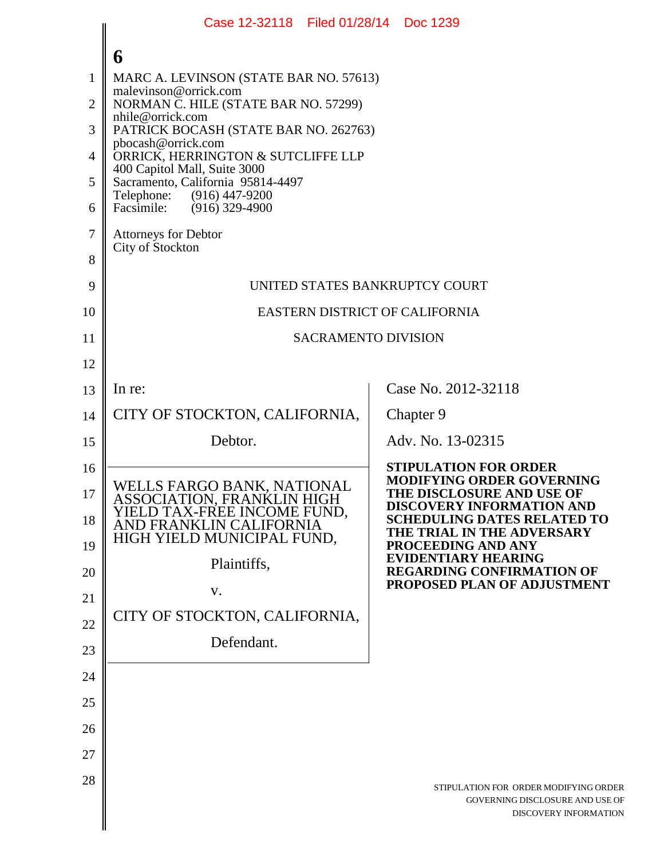|                | Case 12-32118 Filed 01/28/14 Doc 1239                             |                                                                  |  |
|----------------|-------------------------------------------------------------------|------------------------------------------------------------------|--|
|                | 6                                                                 |                                                                  |  |
| $\mathbf{1}$   | MARC A. LEVINSON (STATE BAR NO. 57613)                            |                                                                  |  |
| $\overline{2}$ | malevinson@orrick.com<br>NORMAN C. HILE (STATE BAR NO. 57299)     |                                                                  |  |
| 3              | nhile@orrick.com<br>PATRICK BOCASH (STATE BAR NO. 262763)         |                                                                  |  |
| 4              | pbocash@orrick.com<br>ORRICK, HERRINGTON & SUTCLIFFE LLP          |                                                                  |  |
| 5              | 400 Capitol Mall, Suite 3000<br>Sacramento, California 95814-4497 |                                                                  |  |
| 6              | Telephone: (916) 447-9200<br>Facsimile: (916) 329-4900            |                                                                  |  |
| 7              | <b>Attorneys for Debtor</b>                                       |                                                                  |  |
| 8              | City of Stockton                                                  |                                                                  |  |
| 9              | UNITED STATES BANKRUPTCY COURT                                    |                                                                  |  |
| 10             | EASTERN DISTRICT OF CALIFORNIA                                    |                                                                  |  |
| 11             | <b>SACRAMENTO DIVISION</b>                                        |                                                                  |  |
| 12             |                                                                   |                                                                  |  |
| 13             | In re:                                                            | Case No. 2012-32118                                              |  |
| 14             | CITY OF STOCKTON, CALIFORNIA,                                     | Chapter 9                                                        |  |
| 15             | Debtor.                                                           | Adv. No. 13-02315                                                |  |
| 16             |                                                                   | <b>STIPULATION FOR ORDER</b><br><b>MODIFYING ORDER GOVERNING</b> |  |
| 17             | WELLS FARGO BANK, NATIONAL<br>ASSOCIATION, FRANKLIN HIGH          | THE DISCLOSURE AND USE OF<br><b>DISCOVERY INFORMATION AND</b>    |  |
| 18             | YIELD TAX-FREE INCOME FUND,<br>AND FRANKLIN CALIFORNIA            | <b>SCHEDULING DATES RELATED TO</b><br>THE TRIAL IN THE ADVERSARY |  |
| 19             | HIGH YIELD MUNICIPAL FUND,                                        | <b>PROCEEDING AND ANY</b><br><b>EVIDENTIARY HEARING</b>          |  |
| 20             | Plaintiffs,                                                       | <b>REGARDING CONFIRMATION OF</b><br>PROPOSED PLAN OF ADJUSTMENT  |  |
| 21             | V.                                                                |                                                                  |  |
| 22             | CITY OF STOCKTON, CALIFORNIA,                                     |                                                                  |  |
| 23             | Defendant.                                                        |                                                                  |  |
| 24             |                                                                   |                                                                  |  |
| 25             |                                                                   |                                                                  |  |
| 26             |                                                                   |                                                                  |  |
| 27             |                                                                   |                                                                  |  |
| 28             |                                                                   | STIPULATION FOR ORDER MODIFYING ORDER                            |  |
|                |                                                                   | GOVERNING DISCLOSURE AND USE OF<br>DISCOVERY INFORMATION         |  |
|                |                                                                   |                                                                  |  |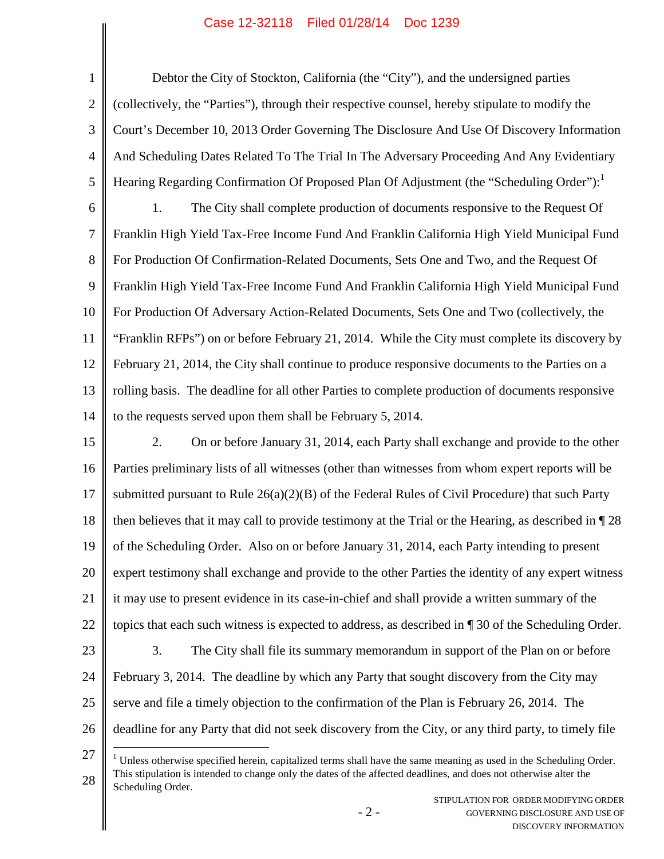## Case 12-32118 Filed 01/28/14 Doc 1239

1 2 3 4 5 6 7 8 9 10 11 12 13 14 15 16 17 18 19 20 21 22 23 24 25 26 27 Debtor the City of Stockton, California (the "City"), and the undersigned parties (collectively, the "Parties"), through their respective counsel, hereby stipulate to modify the Court's December 10, 2013 Order Governing The Disclosure And Use Of Discovery Information And Scheduling Dates Related To The Trial In The Adversary Proceeding And Any Evidentiary Hearing Regarding Confirmation Of Proposed Plan Of Adjustment (the "Scheduling Order"): 1. The City shall complete production of documents responsive to the Request Of Franklin High Yield Tax-Free Income Fund And Franklin California High Yield Municipal Fund For Production Of Confirmation-Related Documents, Sets One and Two, and the Request Of Franklin High Yield Tax-Free Income Fund And Franklin California High Yield Municipal Fund For Production Of Adversary Action-Related Documents, Sets One and Two (collectively, the "Franklin RFPs") on or before February 21, 2014. While the City must complete its discovery by February 21, 2014, the City shall continue to produce responsive documents to the Parties on a rolling basis. The deadline for all other Parties to complete production of documents responsive to the requests served upon them shall be February 5, 2014. 2. On or before January 31, 2014, each Party shall exchange and provide to the other Parties preliminary lists of all witnesses (other than witnesses from whom expert reports will be submitted pursuant to Rule 26(a)(2)(B) of the Federal Rules of Civil Procedure) that such Party then believes that it may call to provide testimony at the Trial or the Hearing, as described in ¶ 28 of the Scheduling Order. Also on or before January 31, 2014, each Party intending to present expert testimony shall exchange and provide to the other Parties the identity of any expert witness it may use to present evidence in its case-in-chief and shall provide a written summary of the topics that each such witness is expected to address, as described in ¶ 30 of the Scheduling Order. 3. The City shall file its summary memorandum in support of the Plan on or before February 3, 2014. The deadline by which any Party that sought discovery from the City may serve and file a timely objection to the confirmation of the Plan is February 26, 2014. The deadline for any Party that did not seek discovery from the City, or any third party, to timely file <sup>1</sup> Unless otherwise specified herein, capitalized terms shall have the same meaning as used in the Scheduling Order. This stipulation is intended to change only the dates of the affected deadlines, and does not otherwise alter the

28 Scheduling Order.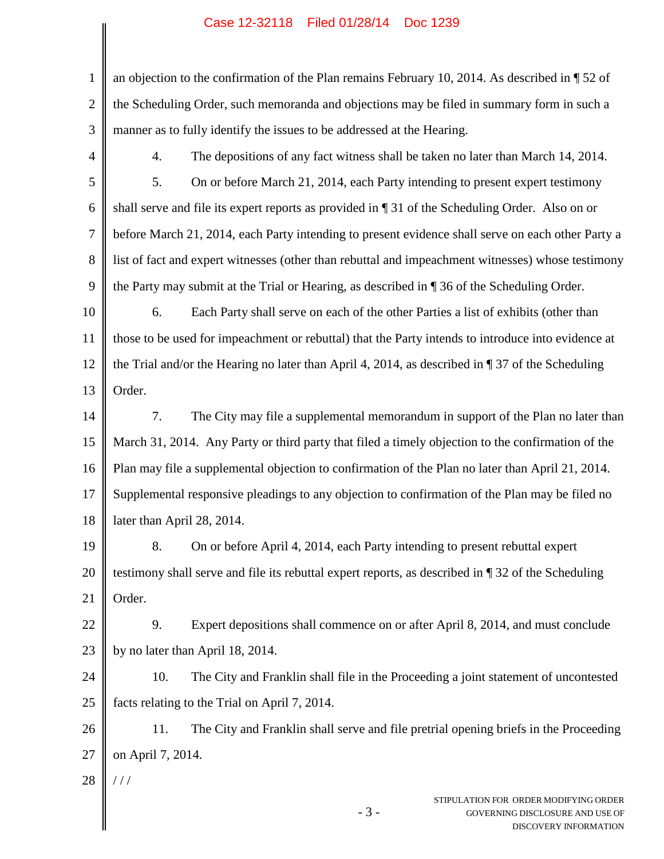## Case 12-32118 Filed 01/28/14 Doc 1239

1 2 3 4 5 6 7 8 9 10 11 12 13 14 15 16 17 18 19 20 21 22 23 24 25 26 27 28 an objection to the confirmation of the Plan remains February 10, 2014. As described in ¶ 52 of the Scheduling Order, such memoranda and objections may be filed in summary form in such a manner as to fully identify the issues to be addressed at the Hearing. 4. The depositions of any fact witness shall be taken no later than March 14, 2014. 5. On or before March 21, 2014, each Party intending to present expert testimony shall serve and file its expert reports as provided in ¶ 31 of the Scheduling Order. Also on or before March 21, 2014, each Party intending to present evidence shall serve on each other Party a list of fact and expert witnesses (other than rebuttal and impeachment witnesses) whose testimony the Party may submit at the Trial or Hearing, as described in ¶ 36 of the Scheduling Order. 6. Each Party shall serve on each of the other Parties a list of exhibits (other than those to be used for impeachment or rebuttal) that the Party intends to introduce into evidence at the Trial and/or the Hearing no later than April 4, 2014, as described in ¶ 37 of the Scheduling Order. 7. The City may file a supplemental memorandum in support of the Plan no later than March 31, 2014. Any Party or third party that filed a timely objection to the confirmation of the Plan may file a supplemental objection to confirmation of the Plan no later than April 21, 2014. Supplemental responsive pleadings to any objection to confirmation of the Plan may be filed no later than April 28, 2014. 8. On or before April 4, 2014, each Party intending to present rebuttal expert testimony shall serve and file its rebuttal expert reports, as described in ¶ 32 of the Scheduling Order. 9. Expert depositions shall commence on or after April 8, 2014, and must conclude by no later than April 18, 2014. 10. The City and Franklin shall file in the Proceeding a joint statement of uncontested facts relating to the Trial on April 7, 2014. 11. The City and Franklin shall serve and file pretrial opening briefs in the Proceeding on April 7, 2014.  $/ /$ 

- 3 -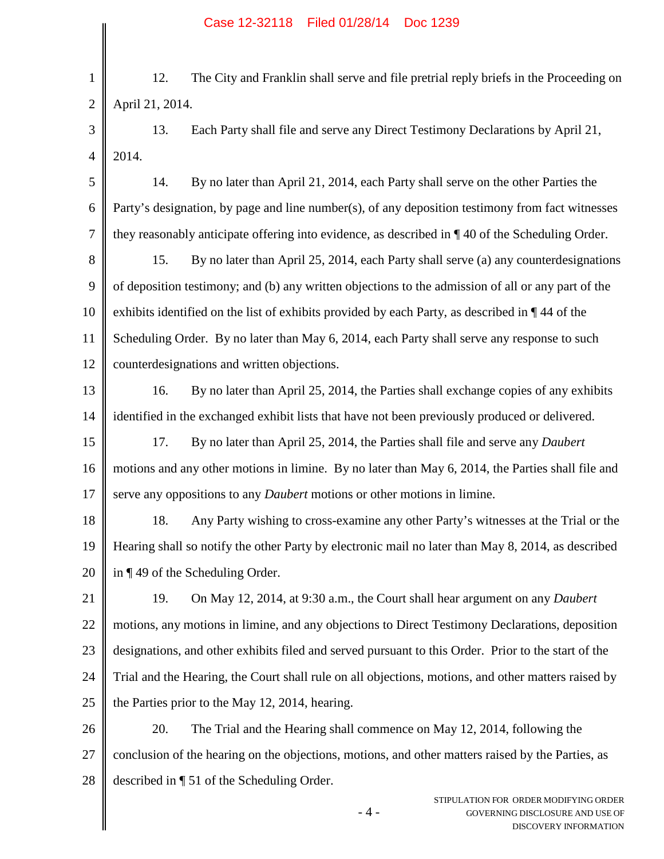1 2 12. The City and Franklin shall serve and file pretrial reply briefs in the Proceeding on April 21, 2014.

3 4 13. Each Party shall file and serve any Direct Testimony Declarations by April 21, 2014.

5 6 7 14. By no later than April 21, 2014, each Party shall serve on the other Parties the Party's designation, by page and line number(s), of any deposition testimony from fact witnesses they reasonably anticipate offering into evidence, as described in ¶ 40 of the Scheduling Order.

8 9 10 11 12 15. By no later than April 25, 2014, each Party shall serve (a) any counterdesignations of deposition testimony; and (b) any written objections to the admission of all or any part of the exhibits identified on the list of exhibits provided by each Party, as described in ¶ 44 of the Scheduling Order. By no later than May 6, 2014, each Party shall serve any response to such counterdesignations and written objections.

13 14 16. By no later than April 25, 2014, the Parties shall exchange copies of any exhibits identified in the exchanged exhibit lists that have not been previously produced or delivered.

15 16 17 17. By no later than April 25, 2014, the Parties shall file and serve any *Daubert* motions and any other motions in limine. By no later than May 6, 2014, the Parties shall file and serve any oppositions to any *Daubert* motions or other motions in limine.

18 19 20 18. Any Party wishing to cross-examine any other Party's witnesses at the Trial or the Hearing shall so notify the other Party by electronic mail no later than May 8, 2014, as described in ¶ 49 of the Scheduling Order.

21 22 23 24 25 19. On May 12, 2014, at 9:30 a.m., the Court shall hear argument on any *Daubert* motions, any motions in limine, and any objections to Direct Testimony Declarations, deposition designations, and other exhibits filed and served pursuant to this Order. Prior to the start of the Trial and the Hearing, the Court shall rule on all objections, motions, and other matters raised by the Parties prior to the May 12, 2014, hearing.

26 27 28 20. The Trial and the Hearing shall commence on May 12, 2014, following the conclusion of the hearing on the objections, motions, and other matters raised by the Parties, as described in ¶ 51 of the Scheduling Order.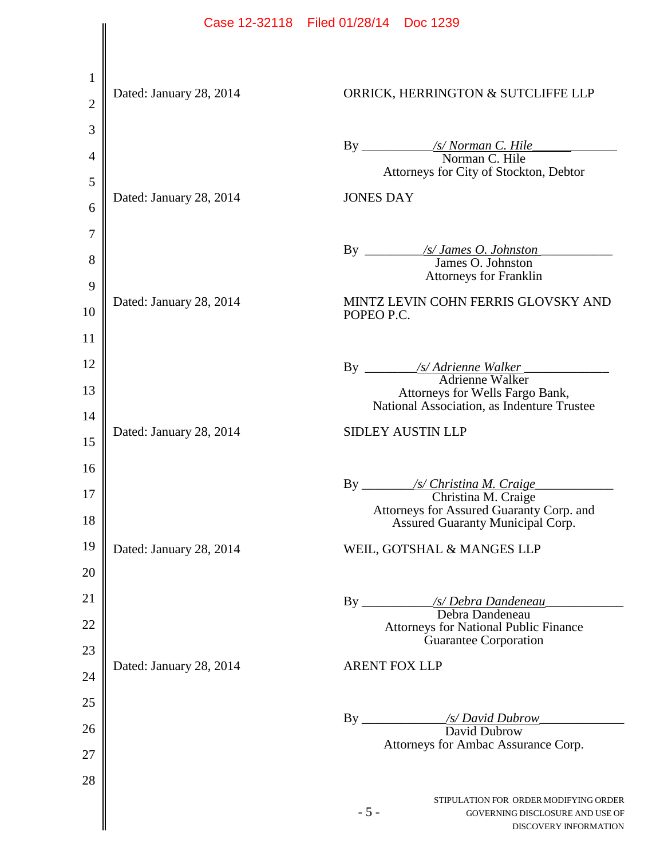|                |                         | Case 12-32118 Filed 01/28/14 Doc 1239                                                                      |
|----------------|-------------------------|------------------------------------------------------------------------------------------------------------|
|                |                         |                                                                                                            |
| $\mathbf{1}$   |                         |                                                                                                            |
| $\overline{2}$ | Dated: January 28, 2014 | ORRICK, HERRINGTON & SUTCLIFFE LLP                                                                         |
| 3              |                         |                                                                                                            |
| $\overline{4}$ |                         |                                                                                                            |
| 5              |                         | Attorneys for City of Stockton, Debtor                                                                     |
| 6              | Dated: January 28, 2014 | <b>JONES DAY</b>                                                                                           |
| 7              |                         |                                                                                                            |
| 8              |                         | James O. Johnston                                                                                          |
| 9              |                         | <b>Attorneys for Franklin</b>                                                                              |
| 10             | Dated: January 28, 2014 | MINTZ LEVIN COHN FERRIS GLOVSKY AND<br>POPEO P.C.                                                          |
| 11             |                         |                                                                                                            |
| 12             |                         | By _______ /s/ Adrienne Walker                                                                             |
| 13             |                         | Adrienne Walker<br>Attorneys for Wells Fargo Bank,                                                         |
| 14             |                         | National Association, as Indenture Trustee                                                                 |
| 15             | Dated: January 28, 2014 | <b>SIDLEY AUSTIN LLP</b>                                                                                   |
| 16             |                         |                                                                                                            |
| 17             |                         | Christina M. Craige                                                                                        |
| 18             |                         | Attorneys for Assured Guaranty Corp. and<br>Assured Guaranty Municipal Corp.                               |
| 19             | Dated: January 28, 2014 | WEIL, GOTSHAL & MANGES LLP                                                                                 |
| 20             |                         |                                                                                                            |
| 21             |                         |                                                                                                            |
| 22             |                         | Attorneys for National Public Finance                                                                      |
| 23             |                         | <b>Guarantee Corporation</b>                                                                               |
| 24             | Dated: January 28, 2014 | <b>ARENT FOX LLP</b>                                                                                       |
| 25             |                         |                                                                                                            |
| 26             |                         |                                                                                                            |
| 27             |                         | Attorneys for Ambac Assurance Corp.                                                                        |
| 28             |                         |                                                                                                            |
|                |                         | STIPULATION FOR ORDER MODIFYING ORDER<br>$-5-$<br>GOVERNING DISCLOSURE AND USE OF<br>DISCOVERY INFORMATION |